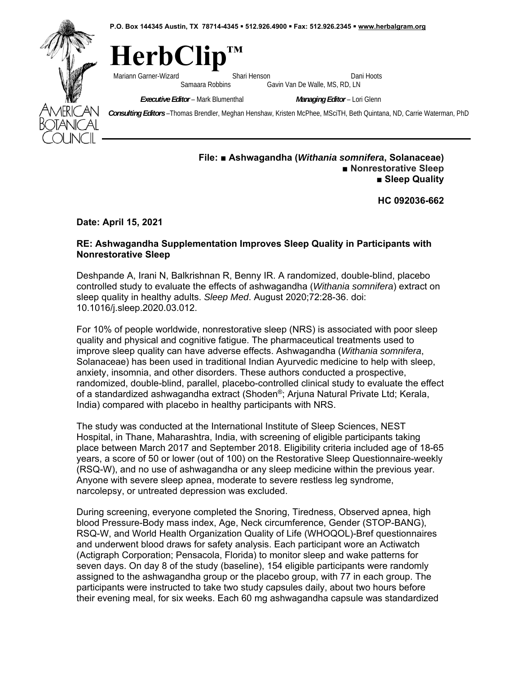**P.O. Box 144345 Austin, TX 78714-4345 512.926.4900 Fax: 512.926.2345 www.herbalgram.org** 



 $HerbC$ Mariann Garner-Wizard **Shari Henson** Dani Hoots Cariann Garner-Wizard Samaara Robbins Gavin Van De Walle, MS, RD, LN Gavin Van De Walle, MS, RD, LN

*Executive Editor* – Mark Blumenthal *Managing Editor* – Lori Glenn

 *Consulting Editors* –Thomas Brendler, Meghan Henshaw, Kristen McPhee, MSciTH, Beth Quintana, ND, Carrie Waterman, PhD

## **File: ■ Ashwagandha (***Withania somnifera***, Solanaceae)**  ■ Nonrestorative Sleep **■ Sleep Quality**

**HC 092036-662** 

**Date: April 15, 2021** 

## **RE: Ashwagandha Supplementation Improves Sleep Quality in Participants with Nonrestorative Sleep**

Deshpande A, Irani N, Balkrishnan R, Benny IR. A randomized, double-blind, placebo controlled study to evaluate the effects of ashwagandha (*Withania somnifera*) extract on sleep quality in healthy adults. *Sleep Med*. August 2020;72:28-36. doi: 10.1016/j.sleep.2020.03.012.

For 10% of people worldwide, nonrestorative sleep (NRS) is associated with poor sleep quality and physical and cognitive fatigue. The pharmaceutical treatments used to improve sleep quality can have adverse effects. Ashwagandha (*Withania somnifera*, Solanaceae) has been used in traditional Indian Ayurvedic medicine to help with sleep, anxiety, insomnia, and other disorders. These authors conducted a prospective, randomized, double-blind, parallel, placebo-controlled clinical study to evaluate the effect of a standardized ashwagandha extract (Shoden®; Arjuna Natural Private Ltd; Kerala, India) compared with placebo in healthy participants with NRS.

The study was conducted at the International Institute of Sleep Sciences, NEST Hospital, in Thane, Maharashtra, India, with screening of eligible participants taking place between March 2017 and September 2018. Eligibility criteria included age of 18-65 years, a score of 50 or lower (out of 100) on the Restorative Sleep Questionnaire-weekly (RSQ-W), and no use of ashwagandha or any sleep medicine within the previous year. Anyone with severe sleep apnea, moderate to severe restless leg syndrome, narcolepsy, or untreated depression was excluded.

During screening, everyone completed the Snoring, Tiredness, Observed apnea, high blood Pressure-Body mass index, Age, Neck circumference, Gender (STOP-BANG), RSQ-W, and World Health Organization Quality of Life (WHOQOL)-Bref questionnaires and underwent blood draws for safety analysis. Each participant wore an Actiwatch (Actigraph Corporation; Pensacola, Florida) to monitor sleep and wake patterns for seven days. On day 8 of the study (baseline), 154 eligible participants were randomly assigned to the ashwagandha group or the placebo group, with 77 in each group. The participants were instructed to take two study capsules daily, about two hours before their evening meal, for six weeks. Each 60 mg ashwagandha capsule was standardized